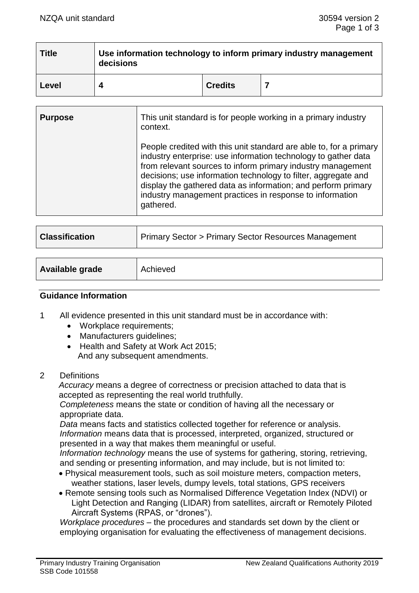| <b>Title</b> | Use information technology to inform primary industry management<br>decisions |                |  |
|--------------|-------------------------------------------------------------------------------|----------------|--|
| Level        |                                                                               | <b>Credits</b> |  |

| <b>Purpose</b> | This unit standard is for people working in a primary industry<br>context.                                                                                                                                                                                                                                                                                                                                      |
|----------------|-----------------------------------------------------------------------------------------------------------------------------------------------------------------------------------------------------------------------------------------------------------------------------------------------------------------------------------------------------------------------------------------------------------------|
|                | People credited with this unit standard are able to, for a primary<br>industry enterprise: use information technology to gather data<br>from relevant sources to inform primary industry management<br>decisions; use information technology to filter, aggregate and<br>display the gathered data as information; and perform primary<br>industry management practices in response to information<br>gathered. |

| <b>Classification</b> | Primary Sector > Primary Sector Resources Management |  |
|-----------------------|------------------------------------------------------|--|
|                       |                                                      |  |
|                       |                                                      |  |

| Available grade | Achieved |
|-----------------|----------|
|                 |          |

#### **Guidance Information**

- 1 All evidence presented in this unit standard must be in accordance with:
	- Workplace requirements:
	- Manufacturers guidelines;
	- Health and Safety at Work Act 2015; And any subsequent amendments.
- 2 Definitions

*Accuracy* means a degree of correctness or precision attached to data that is accepted as representing the real world truthfully.

*Completeness* means the state or condition of having all the necessary or appropriate data.

*Data* means facts and statistics collected together for reference or analysis. *Information* means data that is processed, interpreted, organized, structured or presented in a way that makes them meaningful or useful.

*Information technology* means the use of systems for gathering, storing, retrieving, and sending or presenting information, and may include, but is not limited to:

- Physical measurement tools, such as soil moisture meters, compaction meters, weather stations, laser levels, dumpy levels, total stations, GPS receivers
- Remote sensing tools such as Normalised Difference Vegetation Index (NDVI) or Light Detection and Ranging (LIDAR) from satellites, aircraft or Remotely Piloted Aircraft Systems (RPAS, or "drones").

*Workplace procedures* – the procedures and standards set down by the client or employing organisation for evaluating the effectiveness of management decisions.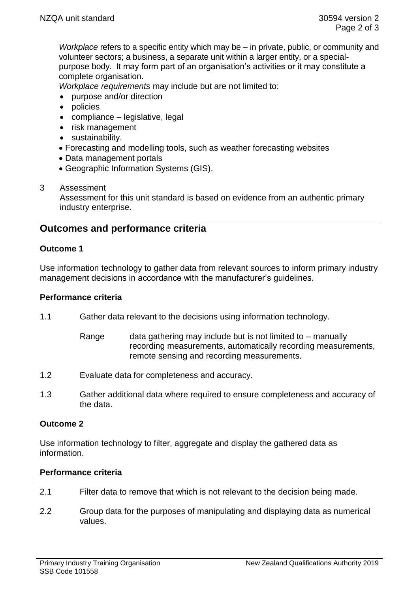*Workplace* refers to a specific entity which may be – in private, public, or community and volunteer sectors; a business, a separate unit within a larger entity, or a specialpurpose body. It may form part of an organisation's activities or it may constitute a complete organisation.

*Workplace requirements* may include but are not limited to:

- purpose and/or direction
- policies
- compliance legislative, legal
- risk management
- sustainability.
- Forecasting and modelling tools, such as weather forecasting websites
- Data management portals
- Geographic Information Systems (GIS).

## 3 Assessment

Assessment for this unit standard is based on evidence from an authentic primary industry enterprise.

# **Outcomes and performance criteria**

#### **Outcome 1**

Use information technology to gather data from relevant sources to inform primary industry management decisions in accordance with the manufacturer's guidelines.

#### **Performance criteria**

- 1.1 Gather data relevant to the decisions using information technology.
	- Range data gathering may include but is not limited to  $-$  manually recording measurements, automatically recording measurements, remote sensing and recording measurements.
- 1.2 Evaluate data for completeness and accuracy.
- 1.3 Gather additional data where required to ensure completeness and accuracy of the data.

## **Outcome 2**

Use information technology to filter, aggregate and display the gathered data as information.

## **Performance criteria**

- 2.1 Filter data to remove that which is not relevant to the decision being made.
- 2.2 Group data for the purposes of manipulating and displaying data as numerical values.